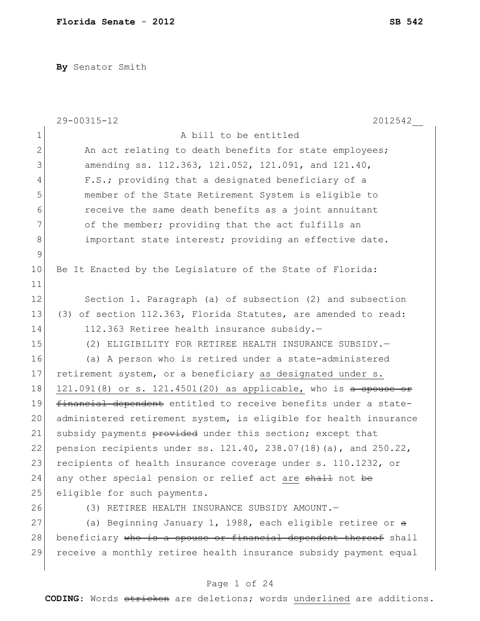**By** Senator Smith

|              | 29-00315-12<br>2012542                                                   |
|--------------|--------------------------------------------------------------------------|
| $\mathbf 1$  | A bill to be entitled                                                    |
| $\mathbf{2}$ | An act relating to death benefits for state employees;                   |
| 3            | amending ss. 112.363, 121.052, 121.091, and 121.40,                      |
| 4            | F.S.; providing that a designated beneficiary of a                       |
| 5            | member of the State Retirement System is eligible to                     |
| 6            | receive the same death benefits as a joint annuitant                     |
| 7            | of the member; providing that the act fulfills an                        |
| $\,8\,$      | important state interest; providing an effective date.                   |
| $\mathsf 9$  |                                                                          |
| 10           | Be It Enacted by the Legislature of the State of Florida:                |
| 11           |                                                                          |
| 12           | Section 1. Paragraph (a) of subsection (2) and subsection                |
| 13           | (3) of section 112.363, Florida Statutes, are amended to read:           |
| 14           | 112.363 Retiree health insurance subsidy.-                               |
| 15           | (2) ELIGIBILITY FOR RETIREE HEALTH INSURANCE SUBSIDY.-                   |
| 16           | (a) A person who is retired under a state-administered                   |
| 17           | retirement system, or a beneficiary as designated under s.               |
| 18           | 121.091(8) or s. 121.4501(20) as applicable, who is a spouse or          |
| 19           | financial dependent entitled to receive benefits under a state-          |
| 20           | administered retirement system, is eligible for health insurance         |
| 21           | subsidy payments provided under this section; except that                |
| 22           | pension recipients under ss. $121.40$ , $238.07(18)$ (a), and $250.22$ , |
| 23           | recipients of health insurance coverage under s. 110.1232, or            |
| 24           | any other special pension or relief act are shall not be                 |
| 25           | eligible for such payments.                                              |
| 26           | (3) RETIREE HEALTH INSURANCE SUBSIDY AMOUNT.-                            |
| 27           | (a) Beginning January 1, 1988, each eligible retiree or a                |
| 28           | beneficiary who is a spouse or financial dependent thereof shall         |
| 29           | receive a monthly retiree health insurance subsidy payment equal         |
|              |                                                                          |

# Page 1 of 24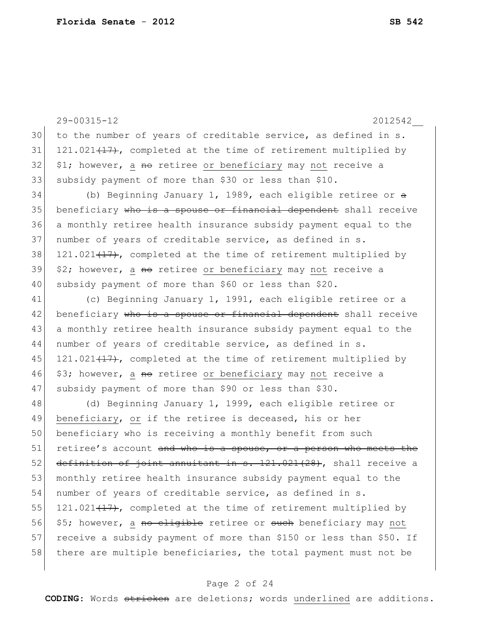29-00315-12 2012542\_\_ 30 to the number of years of creditable service, as defined in s. 31 121.021 $(17)$ , completed at the time of retirement multiplied by  $32$  \$1; however, a no retiree or beneficiary may not receive a 33 subsidy payment of more than \$30 or less than \$10. 34 (b) Beginning January 1, 1989, each eligible retiree or  $a$ 35 beneficiary who is a spouse or financial dependent shall receive 36 a monthly retiree health insurance subsidy payment equal to the 37 | number of years of creditable service, as defined in s. 38 121.021 $(17)$ , completed at the time of retirement multiplied by  $39 \mid 2$ ; however, a <del>no</del> retiree or beneficiary may not receive a 40 subsidy payment of more than \$60 or less than \$20. 41 (c) Beginning January 1, 1991, each eligible retiree or a 42 beneficiary who is a spouse or financial dependent shall receive 43 a monthly retiree health insurance subsidy payment equal to the 44 number of years of creditable service, as defined in s. 45 121.021 $(17)$ , completed at the time of retirement multiplied by 46 \$3; however, a no retiree or beneficiary may not receive a 47 subsidy payment of more than \$90 or less than \$30. 48 (d) Beginning January 1, 1999, each eligible retiree or 49 beneficiary, or if the retiree is deceased, his or her 50 beneficiary who is receiving a monthly benefit from such  $51$  retiree's account and who is a spouse, or a person who meets the  $52$  definition of joint annuitant in s.  $121.021(28)$ , shall receive a 53 monthly retiree health insurance subsidy payment equal to the 54 number of years of creditable service, as defined in s. 55 121.021 $(17)$ , completed at the time of retirement multiplied by 56 \$5; however, a no cligible retiree or such beneficiary may not 57 receive a subsidy payment of more than \$150 or less than \$50. If 58 there are multiple beneficiaries, the total payment must not be

#### Page 2 of 24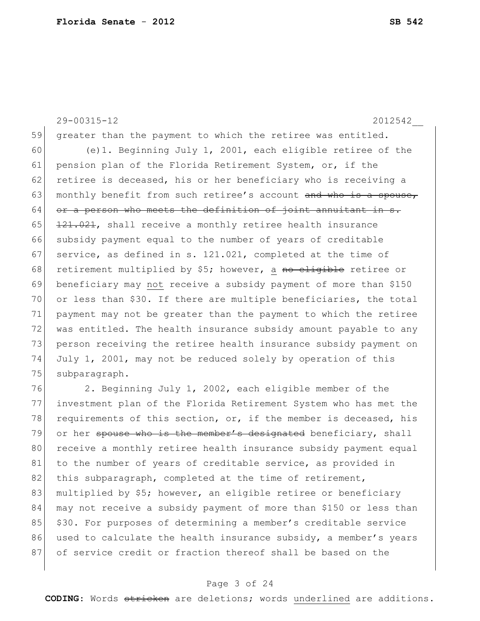29-00315-12 2012542\_\_ 59 greater than the payment to which the retiree was entitled. 60 (e)1. Beginning July 1, 2001, each eligible retiree of the 61 pension plan of the Florida Retirement System, or, if the 62 retiree is deceased, his or her beneficiary who is receiving a 63 monthly benefit from such retiree's account and who is a spouse,  $64$  or a person who meets the definition of joint annuitant in s. 65  $121.021$ , shall receive a monthly retiree health insurance 66 subsidy payment equal to the number of years of creditable 67 service, as defined in s.  $121.021$ , completed at the time of 68 retirement multiplied by \$5; however, a no eligible retiree or 69 beneficiary may not receive a subsidy payment of more than \$150 70 or less than \$30. If there are multiple beneficiaries, the total 71 payment may not be greater than the payment to which the retiree 72 was entitled. The health insurance subsidy amount payable to any 73 person receiving the retiree health insurance subsidy payment on 74 July 1, 2001, may not be reduced solely by operation of this 75 subparagraph.

76 2. Beginning July 1, 2002, each eligible member of the 77 investment plan of the Florida Retirement System who has met the 78 requirements of this section, or, if the member is deceased, his 79 or her spouse who is the member's designated beneficiary, shall 80 receive a monthly retiree health insurance subsidy payment equal 81 to the number of years of creditable service, as provided in 82 this subparagraph, completed at the time of retirement, 83 multiplied by \$5; however, an eligible retiree or beneficiary 84 may not receive a subsidy payment of more than \$150 or less than 85 \$30. For purposes of determining a member's creditable service 86 used to calculate the health insurance subsidy, a member's years 87 of service credit or fraction thereof shall be based on the

# Page 3 of 24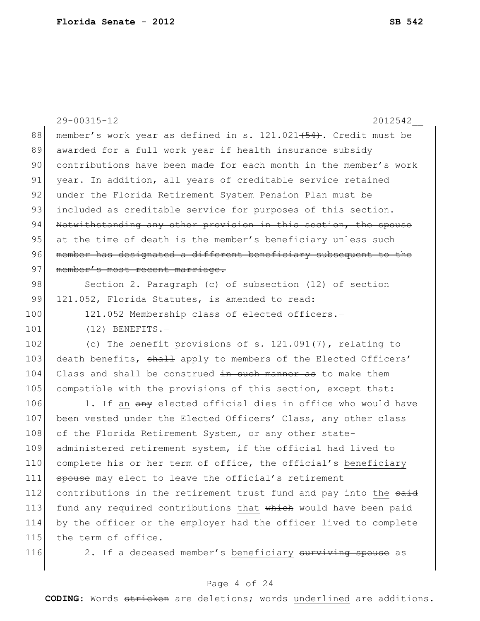|     | 29-00315-12<br>2012542                                           |
|-----|------------------------------------------------------------------|
| 88  | member's work year as defined in s. 121.021 (54). Credit must be |
| 89  | awarded for a full work year if health insurance subsidy         |
| 90  | contributions have been made for each month in the member's work |
| 91  | year. In addition, all years of creditable service retained      |
| 92  | under the Florida Retirement System Pension Plan must be         |
| 93  | included as creditable service for purposes of this section.     |
| 94  | Notwithstanding any other provision in this section, the spouse  |
| 95  | at the time of death is the member's beneficiary unless such     |
| 96  | member has designated a different beneficiary subsequent to the  |
| 97  | member's most recent marriage.                                   |
| 98  | Section 2. Paragraph (c) of subsection (12) of section           |
| 99  | 121.052, Florida Statutes, is amended to read:                   |
| 100 | 121.052 Membership class of elected officers.-                   |
| 101 | $(12)$ BENEFITS.-                                                |
| 102 | (c) The benefit provisions of s. $121.091(7)$ , relating to      |
| 103 | death benefits, shall apply to members of the Elected Officers'  |
| 104 | Class and shall be construed in such manner as to make them      |
| 105 | compatible with the provisions of this section, except that:     |
| 106 | 1. If an any elected official dies in office who would have      |
| 107 | been vested under the Elected Officers' Class, any other class   |
| 108 | of the Florida Retirement System, or any other state-            |
| 109 | administered retirement system, if the official had lived to     |
| 110 | complete his or her term of office, the official's beneficiary   |
| 111 | spouse may elect to leave the official's retirement              |
| 112 | contributions in the retirement trust fund and pay into the said |
| 113 | fund any required contributions that which would have been paid  |
| 114 | by the officer or the employer had the officer lived to complete |
| 115 | the term of office.                                              |
| 116 | 2. If a deceased member's beneficiary surviving spouse as        |
|     |                                                                  |

# Page 4 of 24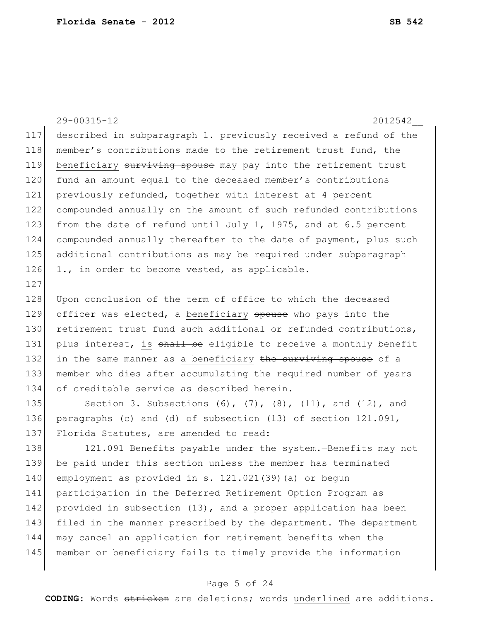29-00315-12 2012542\_\_ 117 described in subparagraph 1. previously received a refund of the 118 member's contributions made to the retirement trust fund, the 119 beneficiary surviving spouse may pay into the retirement trust 120 fund an amount equal to the deceased member's contributions 121 previously refunded, together with interest at 4 percent 122 compounded annually on the amount of such refunded contributions 123 from the date of refund until July 1, 1975, and at 6.5 percent 124 compounded annually thereafter to the date of payment, plus such 125 additional contributions as may be required under subparagraph 126 1., in order to become vested, as applicable. 127 128 Upon conclusion of the term of office to which the deceased 129 officer was elected, a beneficiary spouse who pays into the 130 retirement trust fund such additional or refunded contributions, 131 plus interest, is shall be eligible to receive a monthly benefit 132 in the same manner as a beneficiary the surviving spouse of a 133 member who dies after accumulating the required number of years 134 of creditable service as described herein. 135 Section 3. Subsections  $(6)$ ,  $(7)$ ,  $(8)$ ,  $(11)$ , and  $(12)$ , and 136 paragraphs (c) and (d) of subsection (13) of section 121.091, 137 Florida Statutes, are amended to read: 138 121.091 Benefits payable under the system.—Benefits may not 139 be paid under this section unless the member has terminated 140 employment as provided in s. 121.021(39) (a) or begun

141 participation in the Deferred Retirement Option Program as 142 provided in subsection (13), and a proper application has been 143 filed in the manner prescribed by the department. The department 144 may cancel an application for retirement benefits when the 145 member or beneficiary fails to timely provide the information

# Page 5 of 24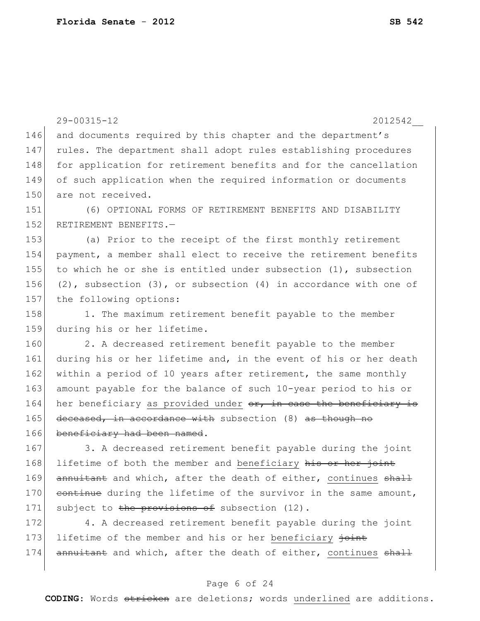29-00315-12 2012542\_\_ 146 and documents required by this chapter and the department's 147 rules. The department shall adopt rules establishing procedures 148 for application for retirement benefits and for the cancellation 149 of such application when the required information or documents 150 are not received. 151 (6) OPTIONAL FORMS OF RETIREMENT BENEFITS AND DISABILITY 152 RETIREMENT BENEFITS.-153 (a) Prior to the receipt of the first monthly retirement 154 payment, a member shall elect to receive the retirement benefits 155 to which he or she is entitled under subsection  $(1)$ , subsection 156 (2), subsection (3), or subsection (4) in accordance with one of 157 the following options: 158 1. The maximum retirement benefit payable to the member 159 during his or her lifetime. 160 2. A decreased retirement benefit payable to the member 161 during his or her lifetime and, in the event of his or her death 162 within a period of 10 years after retirement, the same monthly 163 amount payable for the balance of such 10-year period to his or 164 her beneficiary as provided under or, in case the beneficiary is 165 deceased, in accordance with subsection (8) as though no 166 beneficiary had been named. 167 3. A decreased retirement benefit payable during the joint 168 lifetime of both the member and beneficiary his or her joint 169 annuitant and which, after the death of either, continues shall 170 continue during the lifetime of the survivor in the same amount, 171 subject to the provisions of subsection (12). 172 4. A decreased retirement benefit payable during the joint 173 lifetime of the member and his or her beneficiary joint 174 annuitant and which, after the death of either, continues shall

# Page 6 of 24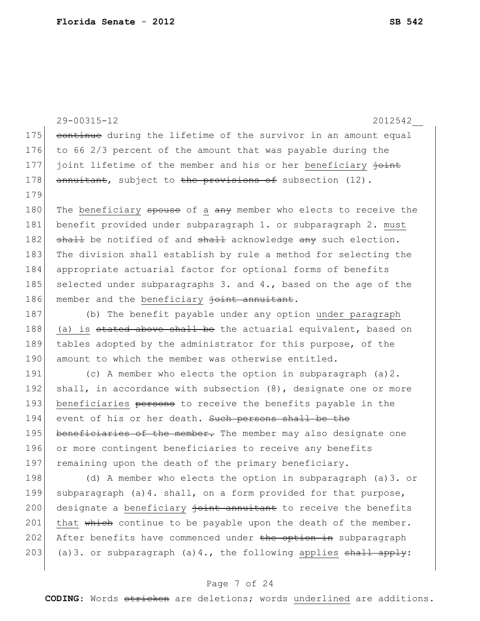|     | 29-00315-12<br>2012542                                             |
|-----|--------------------------------------------------------------------|
| 175 | continue during the lifetime of the survivor in an amount equal    |
| 176 | to 66 2/3 percent of the amount that was payable during the        |
| 177 | joint lifetime of the member and his or her beneficiary joint      |
| 178 | annuitant, subject to the provisions of subsection (12).           |
| 179 |                                                                    |
| 180 | The beneficiary spouse of a any member who elects to receive the   |
| 181 | benefit provided under subparagraph 1. or subparagraph 2. must     |
| 182 | shall be notified of and shall acknowledge any such election.      |
| 183 | The division shall establish by rule a method for selecting the    |
| 184 | appropriate actuarial factor for optional forms of benefits        |
| 185 | selected under subparagraphs 3. and 4., based on the age of the    |
| 186 | member and the beneficiary joint annuitant.                        |
| 187 | (b) The benefit payable under any option under paragraph           |
| 188 | (a) is stated above shall be the actuarial equivalent, based on    |
| 189 | tables adopted by the administrator for this purpose, of the       |
| 190 | amount to which the member was otherwise entitled.                 |
| 191 | (c) A member who elects the option in subparagraph $(a) 2$ .       |
| 192 | shall, in accordance with subsection $(8)$ , designate one or more |
| 193 | beneficiaries persons to receive the benefits payable in the       |
| 194 | event of his or her death. Such persons shall be the               |
| 195 | beneficiaries of the member. The member may also designate one     |
| 196 | or more contingent beneficiaries to receive any benefits           |
| 197 | remaining upon the death of the primary beneficiary.               |
| 198 | (d) A member who elects the option in subparagraph (a) 3. or       |
| 199 | subparagraph (a)4. shall, on a form provided for that purpose,     |
| 200 | designate a beneficiary joint annuitant to receive the benefits    |
| 201 | that which continue to be payable upon the death of the member.    |

203 (a)3. or subparagraph (a)4., the following applies shall apply:

202 After benefits have commenced under the option in subparagraph

# Page 7 of 24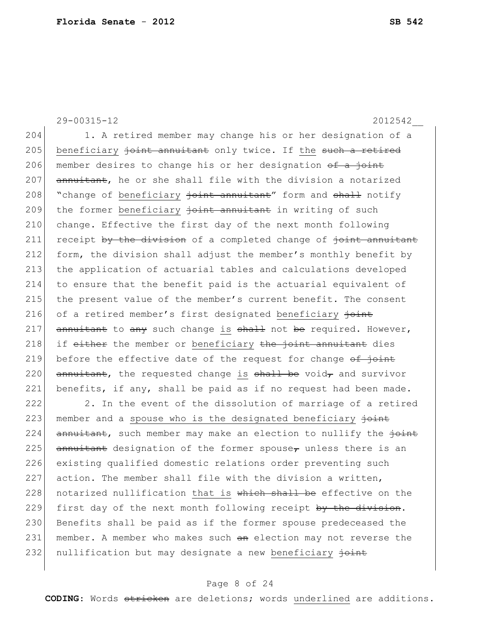29-00315-12 2012542\_\_

204 1. A retired member may change his or her designation of a 205 beneficiary joint annuitant only twice. If the such a retired 206 member desires to change his or her designation  $\theta$  a joint 207 annuitant, he or she shall file with the division a notarized 208 "change of beneficiary joint annuitant" form and shall notify 209 the former beneficiary joint annuitant in writing of such 210 change. Effective the first day of the next month following  $211$  receipt by the division of a completed change of  $\frac{1}{10}$  annuitant 212 form, the division shall adjust the member's monthly benefit by 213 the application of actuarial tables and calculations developed 214 to ensure that the benefit paid is the actuarial equivalent of 215 the present value of the member's current benefit. The consent 216 of a retired member's first designated beneficiary  $\frac{1}{10}$ 217 annuitant to any such change is shall not be required. However,  $218$  if either the member or beneficiary the joint annuitant dies 219 before the effective date of the request for change  $\theta f$  joint 220  $\sqrt{220}$  annuitant, the requested change is shall be void, and survivor 221 benefits, if any, shall be paid as if no request had been made. 222 2. In the event of the dissolution of marriage of a retired

223 member and a spouse who is the designated beneficiary  $\frac{1}{10}$ 224  $\overline{amnu}$  annuitant, such member may make an election to nullify the  $\overline{joint}$ 225 annuitant designation of the former spouse<sub> $\tau$ </sub> unless there is an 226 existing qualified domestic relations order preventing such  $227$  action. The member shall file with the division a written,  $228$  notarized nullification that is which shall be effective on the 229 first day of the next month following receipt by the division. 230 Benefits shall be paid as if the former spouse predeceased the 231 member. A member who makes such an election may not reverse the 232 nullification but may designate a new beneficiary joint

# Page 8 of 24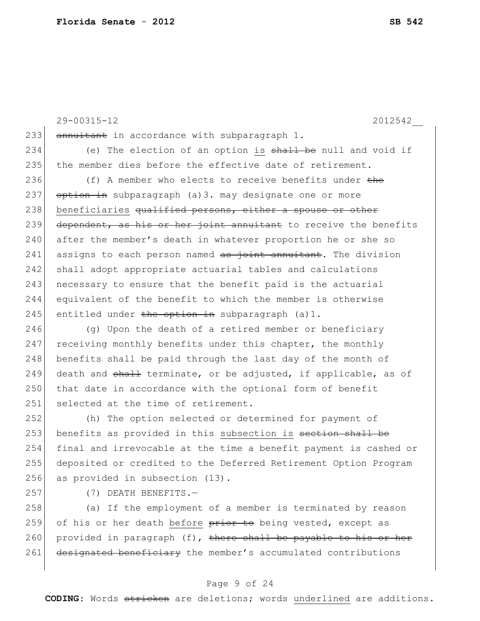29-00315-12 2012542\_\_ 233 annuitant in accordance with subparagraph 1. 234 (e) The election of an option is  $shall$  be null and void if 235 the member dies before the effective date of retirement. 236 (f) A member who elects to receive benefits under the 237 option in subparagraph (a)3. may designate one or more 238 beneficiaries qualified persons, either a spouse or other 239 dependent, as his or her joint annuitant to receive the benefits 240 after the member's death in whatever proportion he or she so  $241$  assigns to each person named as joint annuitant. The division 242 shall adopt appropriate actuarial tables and calculations  $243$  necessary to ensure that the benefit paid is the actuarial 244 equivalent of the benefit to which the member is otherwise 245 entitled under the option in subparagraph  $(a) 1$ .  $246$  (g) Upon the death of a retired member or beneficiary  $247$  receiving monthly benefits under this chapter, the monthly  $248$  benefits shall be paid through the last day of the month of 249 death and shall terminate, or be adjusted, if applicable, as of 250 that date in accordance with the optional form of benefit 251 selected at the time of retirement. 252 (h) The option selected or determined for payment of 253 benefits as provided in this subsection is section shall be 254 final and irrevocable at the time a benefit payment is cashed or 255 deposited or credited to the Deferred Retirement Option Program 256 as provided in subsection (13). 257 (7) DEATH BENEFITS.— 258 (a) If the employment of a member is terminated by reason

259 of his or her death before prior to being vested, except as 260 provided in paragraph (f), there shall be payable to his or her 261 designated beneficiary the member's accumulated contributions

# Page 9 of 24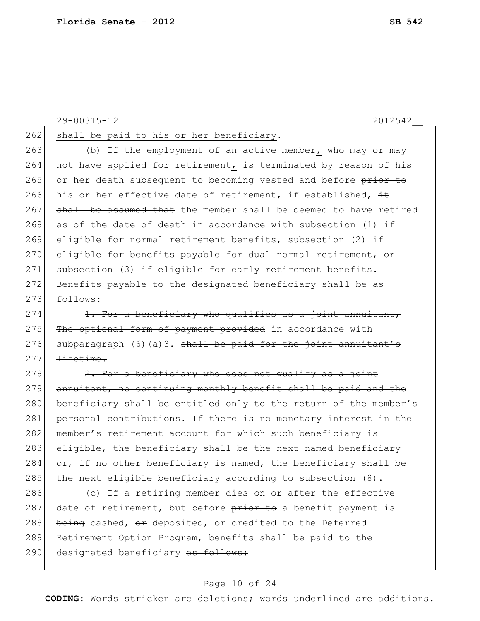29-00315-12 2012542\_\_ 262 shall be paid to his or her beneficiary. 263 (b) If the employment of an active member, who may or may

264 not have applied for retirement, is terminated by reason of his 265 or her death subsequent to becoming vested and before prior to 266 his or her effective date of retirement, if established,  $\pm$ 267 shall be assumed that the member shall be deemed to have retired  $268$  as of the date of death in accordance with subsection (1) if 269 eligible for normal retirement benefits, subsection (2) if 270 eligible for benefits payable for dual normal retirement, or 271 subsection (3) if eligible for early retirement benefits. 272 Benefits payable to the designated beneficiary shall be  $a\overline{a}$  $273$  follows:

 $274$  1. For a beneficiary who qualifies as a joint annuitant, 275 The optional form of payment provided in accordance with 276 subparagraph  $(6)(a)3$ . shall be paid for the joint annuitant's  $277$  lifetime.

 $278$  2. For a beneficiary who does not qualify as a joint  $279$  annuitant, no continuing monthly benefit shall be paid and the 280 beneficiary shall be entitled only to the return of the member's 281 personal contributions. If there is no monetary interest in the 282 | member's retirement account for which such beneficiary is  $283$  eligible, the beneficiary shall be the next named beneficiary 284  $\sigma$ , if no other beneficiary is named, the beneficiary shall be 285 the next eligible beneficiary according to subsection  $(8)$ .

286 (c) If a retiring member dies on or after the effective 287 date of retirement, but before prior to a benefit payment is 288 being cashed,  $\Theta$  deposited, or credited to the Deferred 289 Retirement Option Program, benefits shall be paid to the 290 designated beneficiary as follows:

#### Page 10 of 24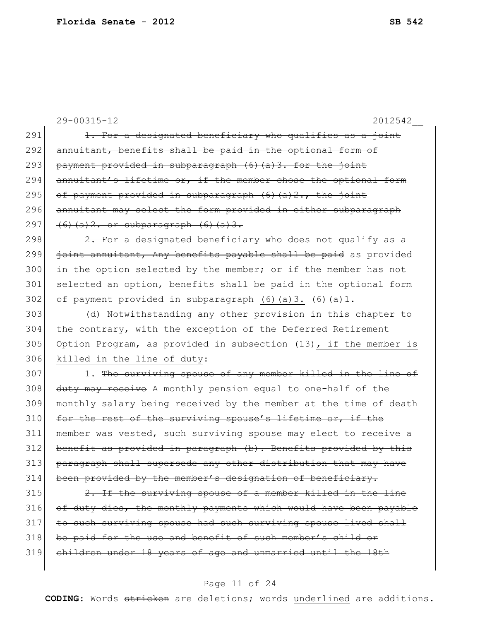|     | 29-00315-12<br>2012542                                                       |
|-----|------------------------------------------------------------------------------|
| 291 | 1. For a designated beneficiary who qualifies as a joint                     |
| 292 | annuitant, benefits shall be paid in the optional form of                    |
| 293 | payment provided in subparagraph (6) (a) 3. for the joint                    |
| 294 | annuitant's lifetime or, if the member chose the optional form               |
| 295 | of payment provided in subparagraph (6)(a)2., the joint                      |
| 296 | annuitant may select the form provided in either subparagraph                |
| 297 | $(6)$ (a) 2. or subparagraph $(6)$ (a) 3.                                    |
| 298 | 2. For a designated beneficiary who does not qualify as a                    |
| 299 | joint annuitant, Any benefits payable shall be paid as provided              |
| 300 | in the option selected by the member; or if the member has not               |
| 301 | selected an option, benefits shall be paid in the optional form              |
| 302 | of payment provided in subparagraph $(6)$ (a) 3. $(6)$ $(4)$ $\frac{1}{2}$ . |
| 303 | (d) Notwithstanding any other provision in this chapter to                   |
| 304 | the contrary, with the exception of the Deferred Retirement                  |
| 305 | Option Program, as provided in subsection (13), if the member is             |
| 306 | killed in the line of duty:                                                  |
| 307 | 1. The surviving spouse of any member killed in the line of                  |
| 308 | duty may receive A monthly pension equal to one-half of the                  |
| 309 | monthly salary being received by the member at the time of death             |
| 310 | for the rest of the surviving spouse's lifetime or, if the                   |
| 311 | member was vested, such surviving spouse may elect to receive a              |
| 312 | benefit as provided in paragraph (b). Benefits provided by this              |
| 313 | paragraph shall supersede any other distribution that may have               |
| 314 | been provided by the member's designation of beneficiary.                    |
| 315 | 2. If the surviving spouse of a member killed in the line                    |
| 316 | of duty dies, the monthly payments which would have been payable             |
| 317 | to such surviving spouse had such surviving spouse lived shall               |
| 318 | be paid for the use and benefit of such member's child or                    |
| 319 | children under 18 years of age and unmarried until the 18th                  |
|     |                                                                              |

# Page 11 of 24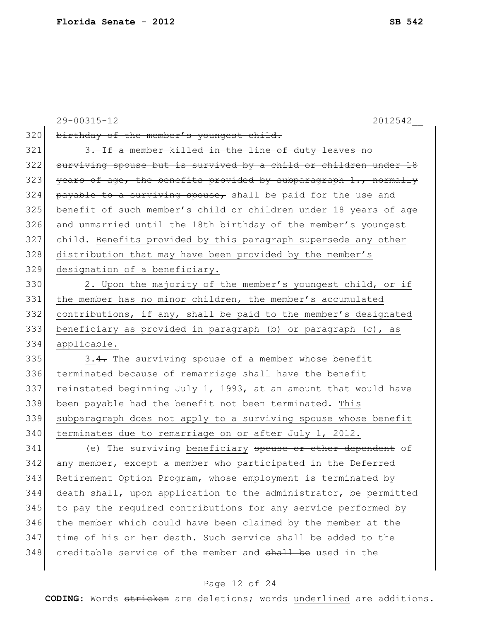|     | 29-00315-12<br>2012542                                           |
|-----|------------------------------------------------------------------|
| 320 | birthday of the member's youngest child.                         |
| 321 | 3. If a member killed in the line of duty leaves no              |
| 322 | surviving spouse but is survived by a child or children under 18 |
| 323 | years of age, the benefits provided by subparagraph 1., normally |
| 324 | payable to a surviving spouse, shall be paid for the use and     |
| 325 | benefit of such member's child or children under 18 years of age |
| 326 | and unmarried until the 18th birthday of the member's youngest   |
| 327 | child. Benefits provided by this paragraph supersede any other   |
| 328 | distribution that may have been provided by the member's         |
| 329 | designation of a beneficiary.                                    |
| 330 | 2. Upon the majority of the member's youngest child, or if       |
| 331 | the member has no minor children, the member's accumulated       |
| 332 | contributions, if any, shall be paid to the member's designated  |
| 333 | beneficiary as provided in paragraph (b) or paragraph (c), as    |
| 334 | applicable.                                                      |
| 335 | 3.4. The surviving spouse of a member whose benefit              |
| 336 | terminated because of remarriage shall have the benefit          |
| 337 | reinstated beginning July 1, 1993, at an amount that would have  |
| 338 | been payable had the benefit not been terminated. This           |
| 339 | subparagraph does not apply to a surviving spouse whose benefit  |
| 340 | terminates due to remarriage on or after July 1, 2012.           |
| 341 | (e) The surviving beneficiary spouse or other dependent of       |
| 342 | any member, except a member who participated in the Deferred     |
| 343 | Retirement Option Program, whose employment is terminated by     |
| 344 | death shall, upon application to the administrator, be permitted |
| 345 | to pay the required contributions for any service performed by   |
| 346 | the member which could have been claimed by the member at the    |

# Page 12 of 24

347 time of his or her death. Such service shall be added to the

348 creditable service of the member and shall be used in the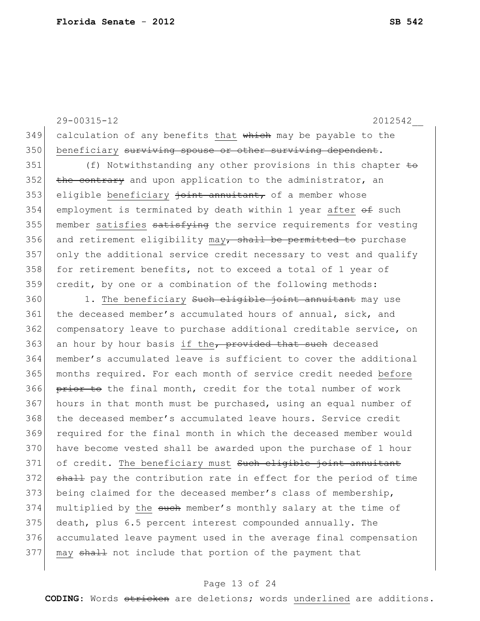$349$  calculation of any benefits that which may be payable to the 350 beneficiary surviving spouse or other surviving dependent. 351 (f) Notwithstanding any other provisions in this chapter to  $352$  the contrary and upon application to the administrator, an  $353$  eligible beneficiary  $\frac{1}{10}$  annuitant, of a member whose 354 employment is terminated by death within 1 year after  $\theta$  such  $355$  member satisfies  $\frac{1}{355}$  satisfies  $\frac{1}{355}$  member  $\frac{1}{355}$  member satisfies  $\frac{1}{355}$ 356 and retirement eligibility may, shall be permitted to purchase 357 only the additional service credit necessary to vest and qualify 358 for retirement benefits, not to exceed a total of 1 year of 359 credit, by one or a combination of the following methods:  $360$  1. The beneficiary such eligible joint annuitant may use 361 the deceased member's accumulated hours of annual, sick, and 362 compensatory leave to purchase additional creditable service, on 363 an hour by hour basis if the, provided that such deceased 364 member's accumulated leave is sufficient to cover the additional 365 months required. For each month of service credit needed before  $366$  prior to the final month, credit for the total number of work  $367$  hours in that month must be purchased, using an equal number of 368 the deceased member's accumulated leave hours. Service credit 369 required for the final month in which the deceased member would 370 have become vested shall be awarded upon the purchase of 1 hour 371 of credit. The beneficiary must Such eligible joint annuitant 372 shall pay the contribution rate in effect for the period of time 373 being claimed for the deceased member's class of membership, 374 multiplied by the such member's monthly salary at the time of 375 death, plus 6.5 percent interest compounded annually. The 376 accumulated leave payment used in the average final compensation 377 may shall not include that portion of the payment that

29-00315-12 2012542\_\_

#### Page 13 of 24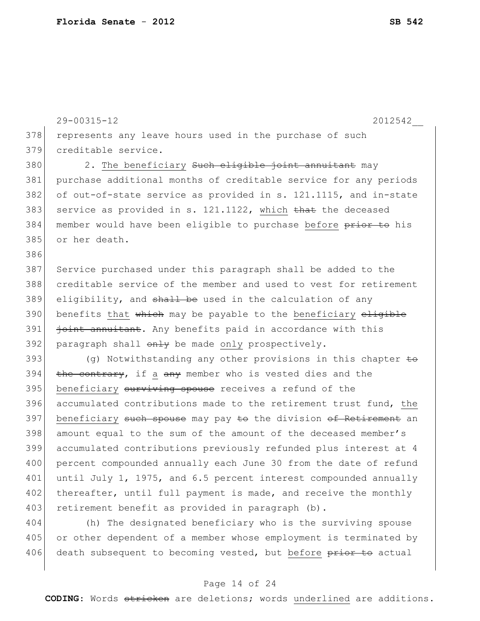29-00315-12 2012542\_\_

386

378 represents any leave hours used in the purchase of such 379 creditable service.

380 2. The beneficiary such eligible joint annuitant may 381 purchase additional months of creditable service for any periods 382 of out-of-state service as provided in s. 121.1115, and in-state 383 service as provided in s.  $121.1122$ , which that the deceased 384 member would have been eligible to purchase before prior to his 385 or her death.

 Service purchased under this paragraph shall be added to the creditable service of the member and used to vest for retirement eligibility, and  $\frac{1}{2}$  and  $\frac{1}{2}$  be used in the calculation of any 390 benefits that which may be payable to the beneficiary eligible joint annuitant. Any benefits paid in accordance with this paragraph shall  $\theta$ <sup>1</sup> be made only prospectively.

393 (g) Notwithstanding any other provisions in this chapter  $\pm \Theta$  $394$  the contrary, if a any member who is vested dies and the 395 beneficiary surviving spouse receives a refund of the 396 accumulated contributions made to the retirement trust fund, the 397 beneficiary such spouse may pay to the division of Retirement an 398 amount equal to the sum of the amount of the deceased member's 399 accumulated contributions previously refunded plus interest at 4 400 percent compounded annually each June 30 from the date of refund 401 until July 1, 1975, and 6.5 percent interest compounded annually 402 thereafter, until full payment is made, and receive the monthly 403 retirement benefit as provided in paragraph (b).

404 (h) The designated beneficiary who is the surviving spouse 405 or other dependent of a member whose employment is terminated by 406 death subsequent to becoming vested, but before prior to actual

#### Page 14 of 24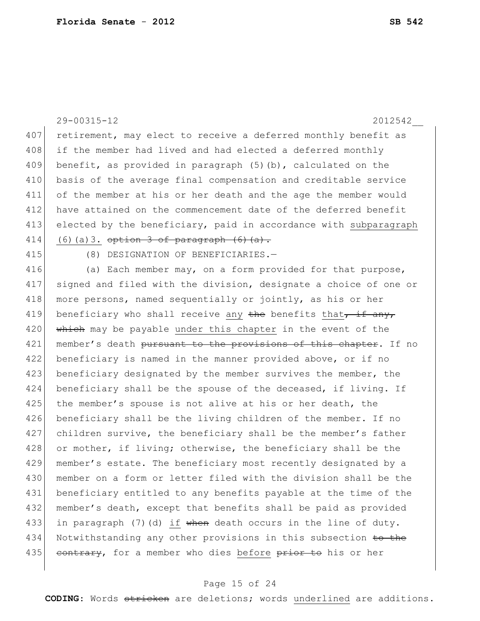29-00315-12 2012542\_\_ 407 retirement, may elect to receive a deferred monthly benefit as 408 if the member had lived and had elected a deferred monthly 409 benefit, as provided in paragraph (5)(b), calculated on the 410 basis of the average final compensation and creditable service 411 of the member at his or her death and the age the member would 412 have attained on the commencement date of the deferred benefit 413 elected by the beneficiary, paid in accordance with subparagraph 414 (6)(a)3. option 3 of paragraph  $(6)$   $(a)$ .

415 (8) DESIGNATION OF BENEFICIARIES.—

416 (a) Each member may, on a form provided for that purpose, 417 signed and filed with the division, designate a choice of one or 418 more persons, named sequentially or jointly, as his or her 419 beneficiary who shall receive any the benefits that, if any, 420 which may be payable under this chapter in the event of the 421 | member's death pursuant to the provisions of this chapter. If no 422 beneficiary is named in the manner provided above, or if no 423 beneficiary designated by the member survives the member, the 424 beneficiary shall be the spouse of the deceased, if living. If 425 the member's spouse is not alive at his or her death, the 426 beneficiary shall be the living children of the member. If no 427 children survive, the beneficiary shall be the member's father 428 or mother, if living; otherwise, the beneficiary shall be the 429 member's estate. The beneficiary most recently designated by a 430 member on a form or letter filed with the division shall be the 431 beneficiary entitled to any benefits payable at the time of the 432 member's death, except that benefits shall be paid as provided 433 in paragraph (7)(d) if when death occurs in the line of duty. 434 Notwithstanding any other provisions in this subsection to the 435 contrary, for a member who dies before prior to his or her

#### Page 15 of 24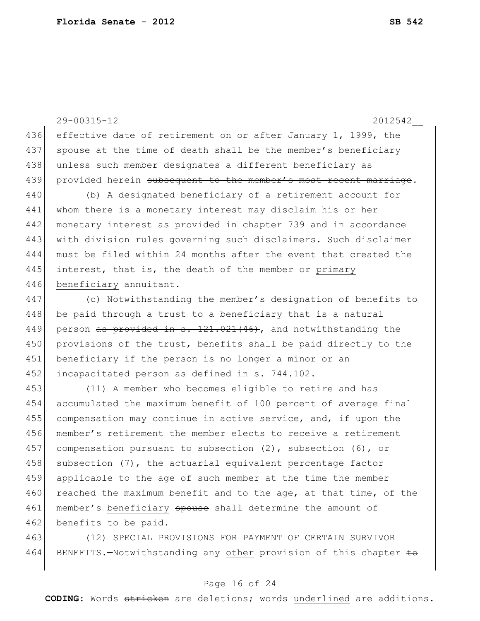29-00315-12 2012542\_\_ 436 effective date of retirement on or after January 1, 1999, the 437 spouse at the time of death shall be the member's beneficiary 438 unless such member designates a different beneficiary as 439 provided herein subsequent to the member's most recent marriage. 440 (b) A designated beneficiary of a retirement account for 441 whom there is a monetary interest may disclaim his or her 442 monetary interest as provided in chapter 739 and in accordance 443 with division rules governing such disclaimers. Such disclaimer 444 must be filed within 24 months after the event that created the 445 interest, that is, the death of the member or primary 446 beneficiary annuitant. 447 (c) Notwithstanding the member's designation of benefits to 448 be paid through a trust to a beneficiary that is a natural 449 person as provided in s.  $121.021(46)$ , and notwithstanding the 450 provisions of the trust, benefits shall be paid directly to the 451 beneficiary if the person is no longer a minor or an 452 incapacitated person as defined in s. 744.102. 453 (11) A member who becomes eligible to retire and has 454 accumulated the maximum benefit of 100 percent of average final 455 compensation may continue in active service, and, if upon the 456 member's retirement the member elects to receive a retirement 457 compensation pursuant to subsection  $(2)$ , subsection  $(6)$ , or  $458$  subsection (7), the actuarial equivalent percentage factor 459 applicable to the age of such member at the time the member 460 reached the maximum benefit and to the age, at that time, of the 461 member's beneficiary spouse shall determine the amount of 462 benefits to be paid.

463 (12) SPECIAL PROVISIONS FOR PAYMENT OF CERTAIN SURVIVOR 464 BENEFITS. - Notwithstanding any other provision of this chapter  $\pm \Theta$ 

# Page 16 of 24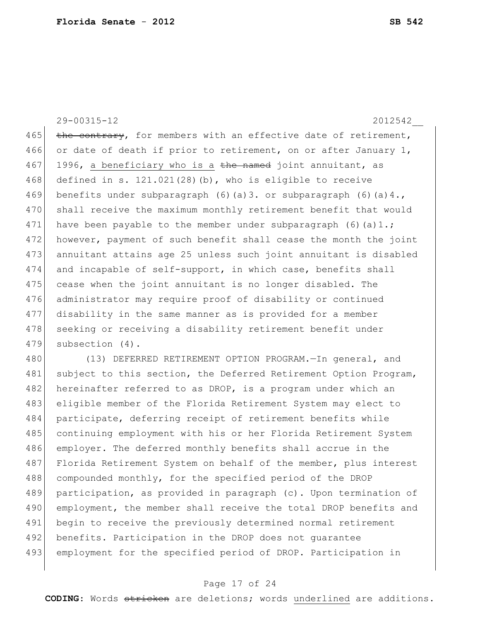29-00315-12 2012542\_\_ 465 the contrary, for members with an effective date of retirement, 466 or date of death if prior to retirement, on or after January 1, 467 1996, a beneficiary who is a the named joint annuitant, as  $468$  defined in s.  $121.021(28)$  (b), who is eligible to receive 469 benefits under subparagraph  $(6)$  (a)3. or subparagraph  $(6)$  (a)4., 470 shall receive the maximum monthly retirement benefit that would 471 have been payable to the member under subparagraph  $(6)(a)1$ .; 472 however, payment of such benefit shall cease the month the joint 473 annuitant attains age 25 unless such joint annuitant is disabled 474 and incapable of self-support, in which case, benefits shall 475 cease when the joint annuitant is no longer disabled. The 476 administrator may require proof of disability or continued 477 disability in the same manner as is provided for a member 478 seeking or receiving a disability retirement benefit under 479 subsection (4).

480 (13) DEFERRED RETIREMENT OPTION PROGRAM. - In general, and 481 subject to this section, the Deferred Retirement Option Program, 482 hereinafter referred to as DROP, is a program under which an 483 eligible member of the Florida Retirement System may elect to 484 participate, deferring receipt of retirement benefits while 485 continuing employment with his or her Florida Retirement System 486 employer. The deferred monthly benefits shall accrue in the 487 Florida Retirement System on behalf of the member, plus interest 488 compounded monthly, for the specified period of the DROP 489 participation, as provided in paragraph (c). Upon termination of 490 employment, the member shall receive the total DROP benefits and 491 begin to receive the previously determined normal retirement 492 benefits. Participation in the DROP does not quarantee 493 employment for the specified period of DROP. Participation in

#### Page 17 of 24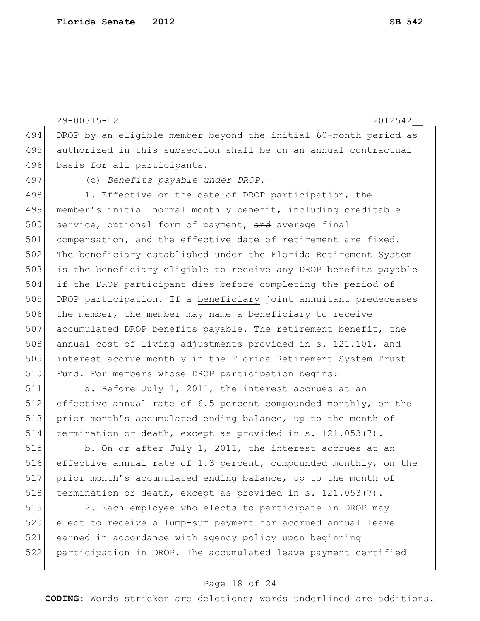29-00315-12 2012542\_\_ 494 DROP by an eligible member beyond the initial 60-month period as 495 authorized in this subsection shall be on an annual contractual 496 basis for all participants. 497 (c) *Benefits payable under DROP.*— 498 1. Effective on the date of DROP participation, the 499 member's initial normal monthly benefit, including creditable 500 service, optional form of payment, and average final 501 compensation, and the effective date of retirement are fixed. 502 The beneficiary established under the Florida Retirement System 503 is the beneficiary eligible to receive any DROP benefits payable 504 if the DROP participant dies before completing the period of 505 DROP participation. If a beneficiary joint annuitant predeceases 506 the member, the member may name a beneficiary to receive 507 accumulated DROP benefits payable. The retirement benefit, the 508 annual cost of living adjustments provided in s. 121.101, and 509 interest accrue monthly in the Florida Retirement System Trust 510 Fund. For members whose DROP participation begins: 511 a. Before July 1, 2011, the interest accrues at an

512 effective annual rate of 6.5 percent compounded monthly, on the 513 prior month's accumulated ending balance, up to the month of 514 termination or death, except as provided in s. 121.053(7).

515 b. On or after July 1, 2011, the interest accrues at an 516 effective annual rate of 1.3 percent, compounded monthly, on the 517 prior month's accumulated ending balance, up to the month of 518 termination or death, except as provided in s. 121.053(7).

519 2. Each employee who elects to participate in DROP may elect to receive a lump-sum payment for accrued annual leave earned in accordance with agency policy upon beginning participation in DROP. The accumulated leave payment certified

#### Page 18 of 24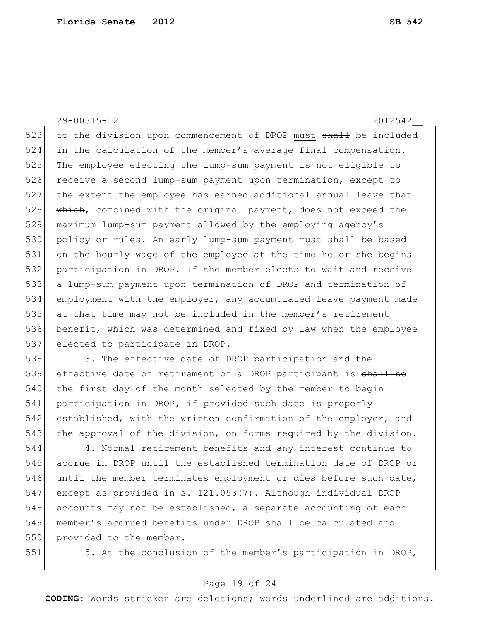29-00315-12 2012542\_\_ 523 to the division upon commencement of DROP must shall be included in the calculation of the member's average final compensation. The employee electing the lump-sum payment is not eligible to 526 receive a second lump-sum payment upon termination, except to the extent the employee has earned additional annual leave that 528 which, combined with the original payment, does not exceed the maximum lump-sum payment allowed by the employing agency's 530 policy or rules. An early lump-sum payment must shall be based on the hourly wage of the employee at the time he or she begins participation in DROP. If the member elects to wait and receive a lump-sum payment upon termination of DROP and termination of employment with the employer, any accumulated leave payment made at that time may not be included in the member's retirement benefit, which was determined and fixed by law when the employee 537 elected to participate in DROP.

538 3. The effective date of DROP participation and the 539 effective date of retirement of a DROP participant is shall be 540 the first day of the month selected by the member to begin 541 participation in DROP, if provided such date is properly 542 established, with the written confirmation of the employer, and 543 the approval of the division, on forms required by the division.

544 4. Normal retirement benefits and any interest continue to 545 accrue in DROP until the established termination date of DROP or 546 until the member terminates employment or dies before such date, 547 except as provided in s. 121.053(7). Although individual DROP 548 accounts may not be established, a separate accounting of each 549 member's accrued benefits under DROP shall be calculated and 550 provided to the member.

551 5. At the conclusion of the member's participation in DROP,

# Page 19 of 24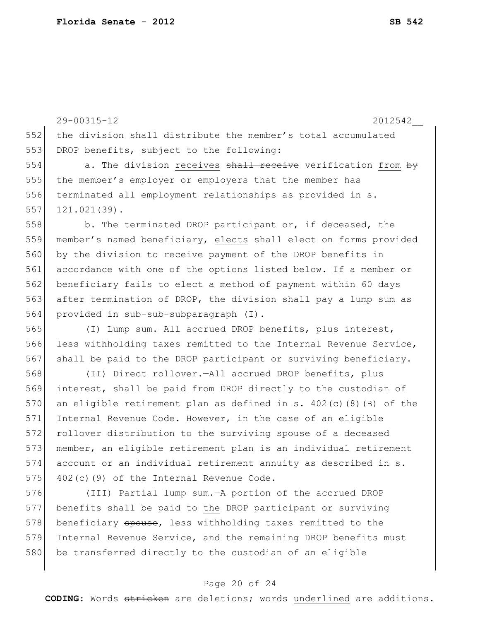29-00315-12 2012542\_\_ 552 the division shall distribute the member's total accumulated 553 DROP benefits, subject to the following: 554 a. The division receives shall receive verification from by 555 the member's employer or employers that the member has 556 terminated all employment relationships as provided in s.  $557$  121.021(39). 558 b. The terminated DROP participant or, if deceased, the 559 member's named beneficiary, elects shall elect on forms provided 560 by the division to receive payment of the DROP benefits in 561 accordance with one of the options listed below. If a member or 562 beneficiary fails to elect a method of payment within 60 days 563 after termination of DROP, the division shall pay a lump sum as 564 provided in sub-sub-subparagraph (I). 565 (I) Lump sum.—All accrued DROP benefits, plus interest, 566 less withholding taxes remitted to the Internal Revenue Service, 567 shall be paid to the DROP participant or surviving beneficiary. 568 (II) Direct rollover.—All accrued DROP benefits, plus 569 interest, shall be paid from DROP directly to the custodian of 570 an eligible retirement plan as defined in s.  $402(c)(8)(B)$  of the 571 Internal Revenue Code. However, in the case of an eligible 572 rollover distribution to the surviving spouse of a deceased 573 member, an eligible retirement plan is an individual retirement 574 account or an individual retirement annuity as described in s.  $575$  402(c)(9) of the Internal Revenue Code. 576 (III) Partial lump sum.—A portion of the accrued DROP 577 benefits shall be paid to the DROP participant or surviving

578 beneficiary spouse, less withholding taxes remitted to the 579 Internal Revenue Service, and the remaining DROP benefits must 580 be transferred directly to the custodian of an eligible

# Page 20 of 24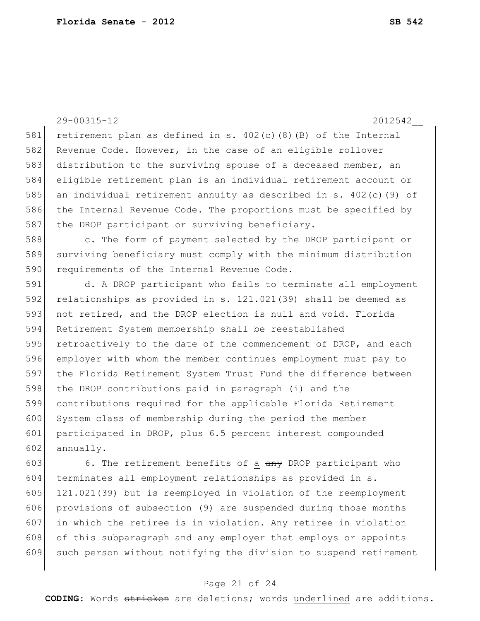29-00315-12 2012542\_\_

581 retirement plan as defined in s.  $402(c)(8)(B)$  of the Internal 582 Revenue Code. However, in the case of an eligible rollover 583 distribution to the surviving spouse of a deceased member, an 584 eligible retirement plan is an individual retirement account or 585 an individual retirement annuity as described in s. 402(c)(9) of 586 the Internal Revenue Code. The proportions must be specified by 587 the DROP participant or surviving beneficiary.

588 c. The form of payment selected by the DROP participant or 589 surviving beneficiary must comply with the minimum distribution 590 requirements of the Internal Revenue Code.

 d. A DROP participant who fails to terminate all employment relationships as provided in s. 121.021(39) shall be deemed as not retired, and the DROP election is null and void. Florida Retirement System membership shall be reestablished 595 retroactively to the date of the commencement of DROP, and each employer with whom the member continues employment must pay to the Florida Retirement System Trust Fund the difference between 598 the DROP contributions paid in paragraph (i) and the contributions required for the applicable Florida Retirement 600 System class of membership during the period the member participated in DROP, plus 6.5 percent interest compounded annually.

603 6. The retirement benefits of a  $\frac{a_n}{b_n}$  DROP participant who 604 terminates all employment relationships as provided in s. 605 121.021(39) but is reemployed in violation of the reemployment 606 provisions of subsection (9) are suspended during those months 607 in which the retiree is in violation. Any retiree in violation 608 of this subparagraph and any employer that employs or appoints 609 such person without notifying the division to suspend retirement

# Page 21 of 24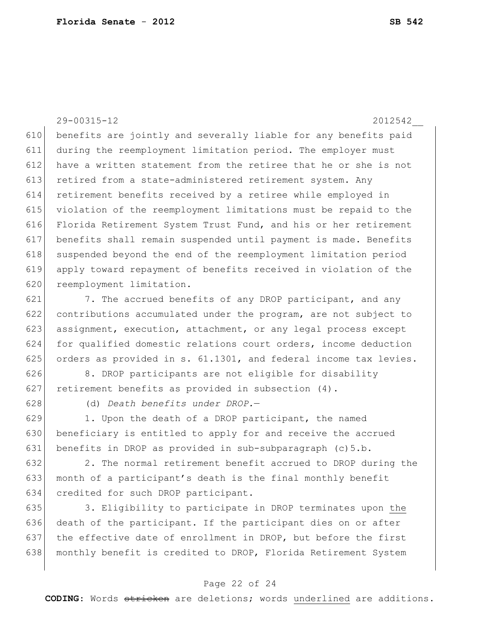29-00315-12 2012542\_\_ 610 benefits are jointly and severally liable for any benefits paid 611 during the reemployment limitation period. The employer must 612 have a written statement from the retiree that he or she is not 613 retired from a state-administered retirement system. Any 614 retirement benefits received by a retiree while employed in 615 violation of the reemployment limitations must be repaid to the 616 Florida Retirement System Trust Fund, and his or her retirement 617 benefits shall remain suspended until payment is made. Benefits 618 suspended beyond the end of the reemployment limitation period 619 apply toward repayment of benefits received in violation of the 620 reemployment limitation.

621  $\vert$  7. The accrued benefits of any DROP participant, and any 622 contributions accumulated under the program, are not subject to 623 assignment, execution, attachment, or any legal process except 624 for qualified domestic relations court orders, income deduction 625 orders as provided in s.  $61.1301$ , and federal income tax levies.

626 8. DROP participants are not eligible for disability 627 retirement benefits as provided in subsection (4).

628 (d) *Death benefits under DROP.*—

 $629$  1. Upon the death of a DROP participant, the named 630 beneficiary is entitled to apply for and receive the accrued 631 benefits in DROP as provided in sub-subparagraph (c) 5.b.

632 2. The normal retirement benefit accrued to DROP during the 633 month of a participant's death is the final monthly benefit 634 credited for such DROP participant.

635 3. Eligibility to participate in DROP terminates upon the 636 death of the participant. If the participant dies on or after 637 the effective date of enrollment in DROP, but before the first 638 monthly benefit is credited to DROP, Florida Retirement System

#### Page 22 of 24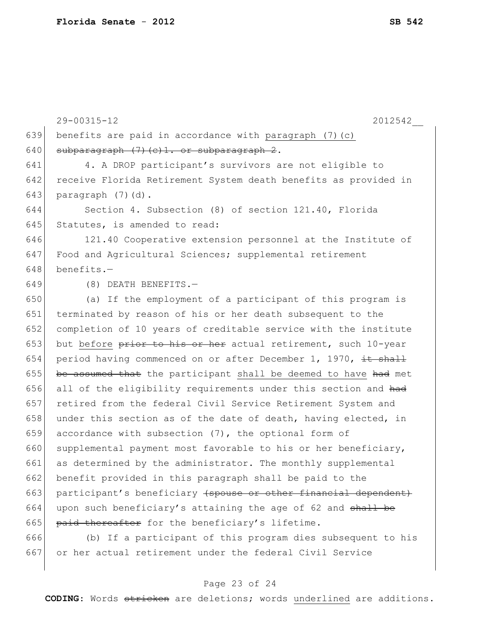|     | 29-00315-12<br>2012542                                          |
|-----|-----------------------------------------------------------------|
| 639 | benefits are paid in accordance with paragraph (7) (c)          |
| 640 | subparagraph (7) (c) 1. or subparagraph 2.                      |
| 641 | 4. A DROP participant's survivors are not eligible to           |
| 642 | receive Florida Retirement System death benefits as provided in |
| 643 | paragraph (7)(d).                                               |
| 644 | Section 4. Subsection (8) of section 121.40, Florida            |
| 645 | Statutes, is amended to read:                                   |
| 646 | 121.40 Cooperative extension personnel at the Institute of      |
| 647 | Food and Agricultural Sciences; supplemental retirement         |
| 648 | benefits.-                                                      |
| 649 | (8) DEATH BENEFITS.-                                            |
| 650 | (a) If the employment of a participant of this program is       |
| 651 | terminated by reason of his or her death subsequent to the      |
| 652 | completion of 10 years of creditable service with the institute |
| 653 | but before prior to his or her actual retirement, such 10-year  |
| 654 | period having commenced on or after December 1, 1970, it shall  |
| 655 | be assumed that the participant shall be deemed to have had met |
| 656 | all of the eligibility requirements under this section and had  |
| 657 | retired from the federal Civil Service Retirement System and    |
| 658 | under this section as of the date of death, having elected, in  |
| 659 | accordance with subsection (7), the optional form of            |
| 660 | supplemental payment most favorable to his or her beneficiary,  |
| 661 | as determined by the administrator. The monthly supplemental    |
| 662 | benefit provided in this paragraph shall be paid to the         |
| 663 | participant's beneficiary (spouse or other financial dependent) |
| 664 | upon such beneficiary's attaining the age of 62 and shall be    |
| 665 | paid thereafter for the beneficiary's lifetime.                 |
| 666 | (b) If a participant of this program dies subsequent to his     |
| 667 | or her actual retirement under the federal Civil Service        |

# Page 23 of 24